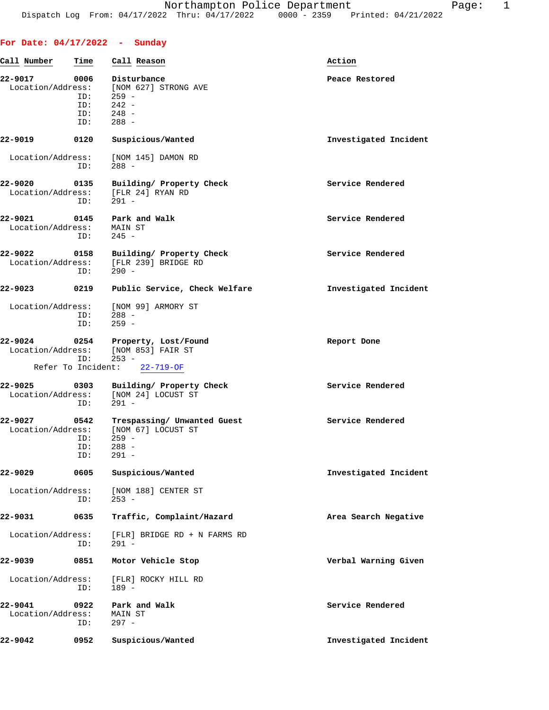| Call Number                       | Time                      | Call Reason                                                                        | Action                |
|-----------------------------------|---------------------------|------------------------------------------------------------------------------------|-----------------------|
| 22-9017<br>Location/Address:      | 0006<br>ID:               | Disturbance<br>[NOM 627] STRONG AVE<br>$259 -$                                     | Peace Restored        |
|                                   | ID:<br>ID:<br>ID:         | $242 -$<br>$248 -$<br>$288 -$                                                      |                       |
| 22-9019                           | 0120                      | Suspicious/Wanted                                                                  | Investigated Incident |
| Location/Address:                 | ID:                       | [NOM 145] DAMON RD<br>$288 -$                                                      |                       |
| 22-9020                           | 0135<br>ID:               | Building/ Property Check<br>Location/Address: [FLR 24] RYAN RD<br>$291 -$          | Service Rendered      |
| 22-9021 0145<br>Location/Address: | ID:                       | Park and Walk<br>MAIN ST<br>$245 -$                                                | Service Rendered      |
| 22-9022                           | 0158<br>ID:               | Building/ Property Check<br>Location/Address: [FLR 239] BRIDGE RD<br>$290 -$       | Service Rendered      |
| 22-9023                           | 0219                      | Public Service, Check Welfare                                                      | Investigated Incident |
|                                   | ID:<br>ID:                | Location/Address: [NOM 99] ARMORY ST<br>$288 -$<br>$259 -$                         |                       |
| 22-9024                           | ID:                       | 0254 Property, Lost/Found<br>Location/Address: [NOM 853] FAIR ST<br>$253 -$        | Report Done           |
|                                   |                           | Refer To Incident: 22-719-OF                                                       |                       |
| 22-9025<br>Location/Address:      | 0303<br>ID:               | Building/ Property Check<br>[NOM 24] LOCUST ST<br>$291 -$                          | Service Rendered      |
| 22-9027<br>Location/Address:      | 0542<br>ID:<br>ID:<br>ID: | Trespassing/ Unwanted Guest<br>[NOM 67] LOCUST ST<br>$259 -$<br>$288 -$<br>$291 -$ | Service Rendered      |
| 22-9029                           | 0605                      | Suspicious/Wanted                                                                  | Investigated Incident |
| Location/Address:                 | ID:                       | [NOM 188] CENTER ST<br>$253 -$                                                     |                       |
| 22-9031                           | 0635                      | Traffic, Complaint/Hazard                                                          | Area Search Negative  |
| Location/Address:                 | ID:                       | [FLR] BRIDGE RD + N FARMS RD<br>$291 -$                                            |                       |
| 22-9039                           | 0851                      | Motor Vehicle Stop                                                                 | Verbal Warning Given  |
| Location/Address:                 | ID:                       | [FLR] ROCKY HILL RD<br>$189 -$                                                     |                       |
| 22-9041<br>Location/Address:      | 0922<br>ID:               | Park and Walk<br>MAIN ST<br>$297 -$                                                | Service Rendered      |
| 22-9042                           | 0952                      | Suspicious/Wanted                                                                  | Investigated Incident |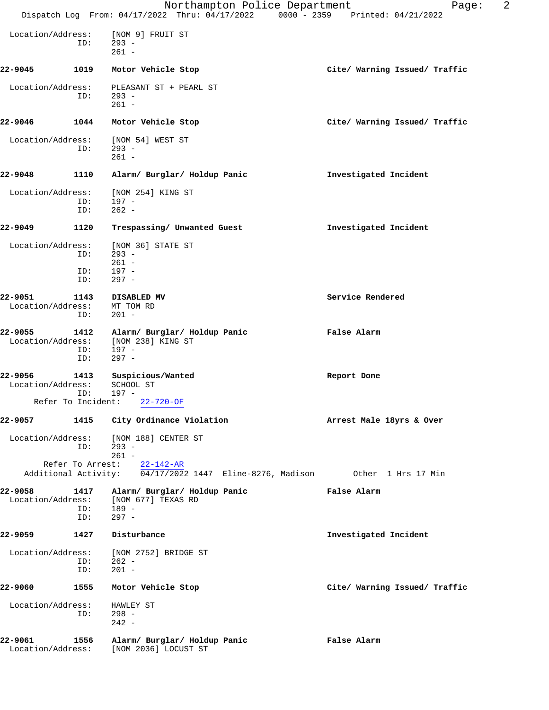|                              |                          | Northampton Police Department<br>Dispatch Log From: 04/17/2022 Thru: 04/17/2022 0000 - 2359 Printed: 04/21/2022 | 2<br>Page:                    |
|------------------------------|--------------------------|-----------------------------------------------------------------------------------------------------------------|-------------------------------|
|                              |                          |                                                                                                                 |                               |
| Location/Address:            | ID:                      | [NOM 9] FRUIT ST<br>$293 -$<br>$261 -$                                                                          |                               |
| 22-9045                      | 1019                     | Motor Vehicle Stop                                                                                              | Cite/ Warning Issued/ Traffic |
| Location/Address:            | ID:                      | PLEASANT ST + PEARL ST<br>$293 -$<br>$261 -$                                                                    |                               |
| 22-9046                      | 1044                     | Motor Vehicle Stop                                                                                              | Cite/ Warning Issued/ Traffic |
| Location/Address:            | ID:                      | [NOM 54] WEST ST<br>$293 -$<br>$261 -$                                                                          |                               |
| 22-9048                      | 1110                     | Alarm/ Burglar/ Holdup Panic                                                                                    | Investigated Incident         |
| Location/Address:            | ID:<br>ID:               | [NOM 254] KING ST<br>$197 -$<br>$262 -$                                                                         |                               |
| 22-9049                      | 1120                     | Trespassing/ Unwanted Guest                                                                                     | Investigated Incident         |
| Location/Address:            | ID:<br>ID:<br>ID:        | [NOM 36] STATE ST<br>$293 -$<br>$261 -$<br>197 -<br>$297 -$                                                     |                               |
| 22-9051<br>Location/Address: | 1143<br>ID:              | DISABLED MV<br>MT TOM RD<br>$201 -$                                                                             | Service Rendered              |
| 22-9055<br>Location/Address: | 1412<br>ID:<br>ID:       | Alarm/ Burglar/ Holdup Panic<br>[NOM 238] KING ST<br>$197 -$<br>$297 -$                                         | False Alarm                   |
| 22-9056<br>Location/Address: | 1413<br>ID:              | Suspicious/Wanted<br>SCHOOL ST<br>$197 -$                                                                       | Report Done                   |
|                              |                          | Refer To Incident: 22-720-OF                                                                                    |                               |
| 22-9057                      | 1415                     | City Ordinance Violation                                                                                        | Arrest Male 18yrs & Over      |
|                              | ID:                      | Location/Address: [NOM 188] CENTER ST<br>$293 -$<br>$261 -$                                                     |                               |
|                              |                          | Refer To Arrest: 22-142-AR<br>Additional Activity: 04/17/2022 1447 Eline-8276, Madison 0ther 1 Hrs 17 Min       |                               |
| 22-9058<br>Location/Address: | 1417<br>ID: 189 -<br>ID: | Alarm/ Burglar/ Holdup Panic<br>[NOM 677] TEXAS RD<br>297 -                                                     | False Alarm                   |
| 22-9059                      | 1427                     | Disturbance                                                                                                     | Investigated Incident         |
| Location/Address:            | ID:<br>ID:               | [NOM 2752] BRIDGE ST<br>$262 -$<br>$201 -$                                                                      |                               |
| 22-9060                      | 1555                     | Motor Vehicle Stop                                                                                              | Cite/ Warning Issued/ Traffic |
| Location/Address:            | ID:                      | HAWLEY ST<br>$298 -$<br>$242 -$                                                                                 |                               |
| 22-9061                      | 1556                     | Alarm/ Burglar/ Holdup Panic<br>Location/Address: [NOM 2036] LOCUST ST                                          | False Alarm                   |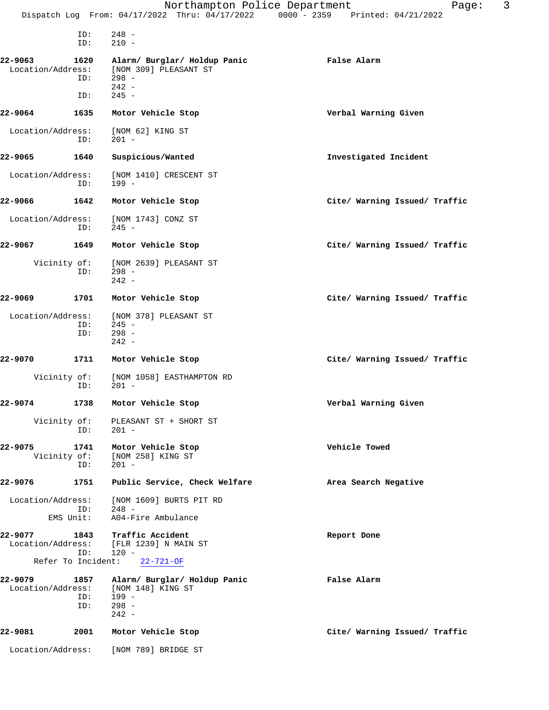|                              |                             | Northampton Police Department<br>Dispatch Log From: 04/17/2022 Thru: 04/17/2022 0000 - 2359 Printed: 04/21/2022 | 3<br>Page:                    |
|------------------------------|-----------------------------|-----------------------------------------------------------------------------------------------------------------|-------------------------------|
|                              | ID:<br>ID:                  | $248 -$<br>$210 -$                                                                                              |                               |
| 22-9063<br>Location/Address: | 1620<br>ID:                 | Alarm/ Burglar/ Holdup Panic<br>[NOM 309] PLEASANT ST<br>$298 -$<br>$242 -$                                     | False Alarm                   |
| 22-9064                      | ID:<br>1635                 | $245 -$<br>Motor Vehicle Stop                                                                                   | Verbal Warning Given          |
| Location/Address:            | ID:                         | [NOM 62] KING ST<br>$201 -$                                                                                     |                               |
| 22-9065                      | 1640                        | Suspicious/Wanted                                                                                               | Investigated Incident         |
| Location/Address:            | ID:                         | [NOM 1410] CRESCENT ST<br>$199 -$                                                                               |                               |
| 22-9066                      | 1642                        | Motor Vehicle Stop                                                                                              | Cite/ Warning Issued/ Traffic |
| Location/Address:            | ID:                         | [NOM 1743] CONZ ST<br>$245 -$                                                                                   |                               |
| 22-9067                      | 1649                        | Motor Vehicle Stop                                                                                              | Cite/ Warning Issued/ Traffic |
|                              | Vicinity of:<br>ID:         | [NOM 2639] PLEASANT ST<br>$298 -$<br>$242 -$                                                                    |                               |
| 22-9069                      | 1701                        | Motor Vehicle Stop                                                                                              | Cite/ Warning Issued/ Traffic |
| Location/Address:            | ID:<br>ID:                  | [NOM 378] PLEASANT ST<br>$245 -$<br>$298 -$<br>$242 -$                                                          |                               |
| 22-9070                      | 1711                        | Motor Vehicle Stop                                                                                              | Cite/ Warning Issued/ Traffic |
|                              | Vicinity of:<br>ID:         | [NOM 1058] EASTHAMPTON RD<br>$201 -$                                                                            |                               |
| 22-9074                      |                             | 1738 Motor Vehicle Stop                                                                                         | Verbal Warning Given          |
|                              | ID:                         | Vicinity of: PLEASANT ST + SHORT ST<br>$201 -$                                                                  |                               |
| 22-9075                      | 1741<br>Vicinity of:<br>ID: | Motor Vehicle Stop<br>[NOM 258] KING ST<br>$201 -$                                                              | Vehicle Towed                 |
| 22-9076                      | 1751                        | Public Service, Check Welfare                                                                                   | Area Search Negative          |
| Location/Address:            | ID:<br>EMS Unit:            | [NOM 1609] BURTS PIT RD<br>248 -<br>A04-Fire Ambulance                                                          |                               |
| 22-9077<br>Location/Address: | ID:                         | 1843 Traffic Accident<br>[FLR 1239] N MAIN ST<br>$120 -$<br>Refer To Incident: 22-721-OF                        | Report Done                   |
| 22-9079 22-                  | 1857                        | Alarm/ Burglar/ Holdup Panic                                                                                    | False Alarm                   |
|                              | ID:<br>ID:                  | Location/Address: [NOM 148] KING ST<br>199 -<br>$298 -$<br>$242 -$                                              |                               |
| 22-9081                      | 2001                        | Motor Vehicle Stop                                                                                              | Cite/ Warning Issued/ Traffic |
|                              |                             | Location/Address: [NOM 789] BRIDGE ST                                                                           |                               |